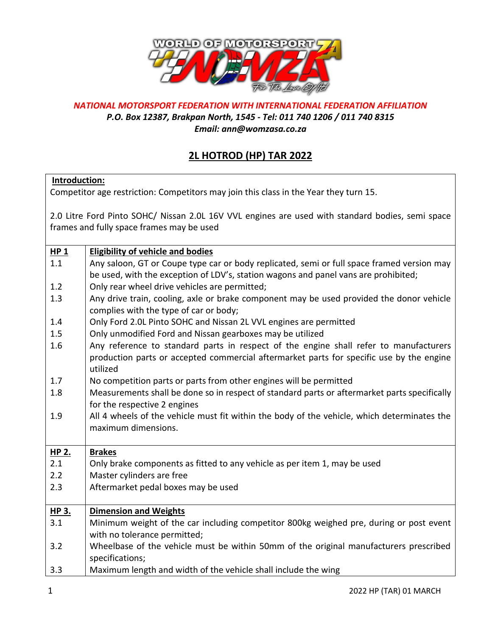

## *NATIONAL MOTORSPORT FEDERATION WITH INTERNATIONAL FEDERATION AFFILIATION*

*P.O. Box 12387, Brakpan North, 1545 - Tel: 011 740 1206 / 011 740 8315*

*Email: ann@womzasa.co.za*

## **2L HOTROD (HP) TAR 2022**

## **Introduction:**

Competitor age restriction: Competitors may join this class in the Year they turn 15.

2.0 Litre Ford Pinto SOHC/ Nissan 2.0L 16V VVL engines are used with standard bodies, semi space frames and fully space frames may be used

| $HP_1$ | <b>Eligibility of vehicle and bodies</b>                                                     |
|--------|----------------------------------------------------------------------------------------------|
| 1.1    | Any saloon, GT or Coupe type car or body replicated, semi or full space framed version may   |
|        | be used, with the exception of LDV's, station wagons and panel vans are prohibited;          |
| 1.2    | Only rear wheel drive vehicles are permitted;                                                |
| 1.3    | Any drive train, cooling, axle or brake component may be used provided the donor vehicle     |
|        | complies with the type of car or body;                                                       |
| 1.4    | Only Ford 2.0L Pinto SOHC and Nissan 2L VVL engines are permitted                            |
| 1.5    | Only unmodified Ford and Nissan gearboxes may be utilized                                    |
| 1.6    | Any reference to standard parts in respect of the engine shall refer to manufacturers        |
|        | production parts or accepted commercial aftermarket parts for specific use by the engine     |
|        | utilized                                                                                     |
| 1.7    | No competition parts or parts from other engines will be permitted                           |
| 1.8    | Measurements shall be done so in respect of standard parts or aftermarket parts specifically |
|        | for the respective 2 engines                                                                 |
| 1.9    | All 4 wheels of the vehicle must fit within the body of the vehicle, which determinates the  |
|        | maximum dimensions.                                                                          |
|        |                                                                                              |
| HP 2.  | <b>Brakes</b>                                                                                |
| 2.1    | Only brake components as fitted to any vehicle as per item 1, may be used                    |
| 2.2    | Master cylinders are free                                                                    |
| 2.3    | Aftermarket pedal boxes may be used                                                          |
|        |                                                                                              |
| HP 3.  | <b>Dimension and Weights</b>                                                                 |
| 3.1    | Minimum weight of the car including competitor 800kg weighed pre, during or post event       |
|        | with no tolerance permitted;                                                                 |
| 3.2    | Wheelbase of the vehicle must be within 50mm of the original manufacturers prescribed        |
|        | specifications;                                                                              |
| 3.3    | Maximum length and width of the vehicle shall include the wing                               |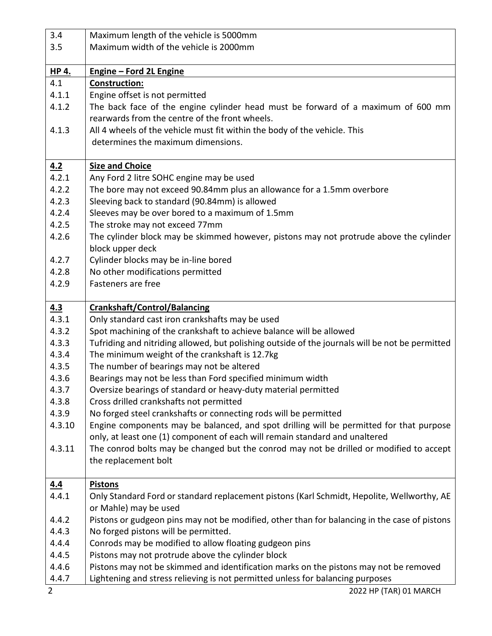| 3.4          | Maximum length of the vehicle is 5000mm                                                                                                                                |
|--------------|------------------------------------------------------------------------------------------------------------------------------------------------------------------------|
| 3.5          | Maximum width of the vehicle is 2000mm                                                                                                                                 |
|              |                                                                                                                                                                        |
| <b>HP 4.</b> | <b>Engine - Ford 2L Engine</b>                                                                                                                                         |
| 4.1          | <b>Construction:</b>                                                                                                                                                   |
| 4.1.1        | Engine offset is not permitted                                                                                                                                         |
| 4.1.2        | The back face of the engine cylinder head must be forward of a maximum of 600 mm                                                                                       |
|              | rearwards from the centre of the front wheels.                                                                                                                         |
| 4.1.3        | All 4 wheels of the vehicle must fit within the body of the vehicle. This                                                                                              |
|              | determines the maximum dimensions.                                                                                                                                     |
|              |                                                                                                                                                                        |
| 4.2          | <b>Size and Choice</b>                                                                                                                                                 |
| 4.2.1        | Any Ford 2 litre SOHC engine may be used                                                                                                                               |
| 4.2.2        | The bore may not exceed 90.84mm plus an allowance for a 1.5mm overbore                                                                                                 |
| 4.2.3        | Sleeving back to standard (90.84mm) is allowed                                                                                                                         |
| 4.2.4        | Sleeves may be over bored to a maximum of 1.5mm                                                                                                                        |
| 4.2.5        | The stroke may not exceed 77mm                                                                                                                                         |
| 4.2.6        | The cylinder block may be skimmed however, pistons may not protrude above the cylinder                                                                                 |
|              | block upper deck                                                                                                                                                       |
| 4.2.7        | Cylinder blocks may be in-line bored                                                                                                                                   |
| 4.2.8        | No other modifications permitted                                                                                                                                       |
| 4.2.9        | Fasteners are free                                                                                                                                                     |
|              |                                                                                                                                                                        |
| 4.3<br>4.3.1 | <b>Crankshaft/Control/Balancing</b>                                                                                                                                    |
| 4.3.2        | Only standard cast iron crankshafts may be used                                                                                                                        |
| 4.3.3        | Spot machining of the crankshaft to achieve balance will be allowed<br>Tufriding and nitriding allowed, but polishing outside of the journals will be not be permitted |
| 4.3.4        | The minimum weight of the crankshaft is 12.7kg                                                                                                                         |
| 4.3.5        | The number of bearings may not be altered                                                                                                                              |
| 4.3.6        | Bearings may not be less than Ford specified minimum width                                                                                                             |
| 4.3.7        | Oversize bearings of standard or heavy-duty material permitted                                                                                                         |
| 4.3.8        | Cross drilled crankshafts not permitted                                                                                                                                |
| 4.3.9        | No forged steel crankshafts or connecting rods will be permitted                                                                                                       |
| 4.3.10       | Engine components may be balanced, and spot drilling will be permitted for that purpose                                                                                |
|              | only, at least one (1) component of each will remain standard and unaltered                                                                                            |
| 4.3.11       | The conrod bolts may be changed but the conrod may not be drilled or modified to accept                                                                                |
|              | the replacement bolt                                                                                                                                                   |
|              |                                                                                                                                                                        |
| 4.4          | <b>Pistons</b>                                                                                                                                                         |
| 4.4.1        | Only Standard Ford or standard replacement pistons (Karl Schmidt, Hepolite, Wellworthy, AE                                                                             |
|              | or Mahle) may be used                                                                                                                                                  |
| 4.4.2        | Pistons or gudgeon pins may not be modified, other than for balancing in the case of pistons                                                                           |
| 4.4.3        | No forged pistons will be permitted.                                                                                                                                   |
| 4.4.4        | Conrods may be modified to allow floating gudgeon pins                                                                                                                 |
| 4.4.5        | Pistons may not protrude above the cylinder block                                                                                                                      |
| 4.4.6        | Pistons may not be skimmed and identification marks on the pistons may not be removed                                                                                  |
| 4.4.7        | Lightening and stress relieving is not permitted unless for balancing purposes                                                                                         |
| 2            | 2022 HP (TAR) 01 MARCH                                                                                                                                                 |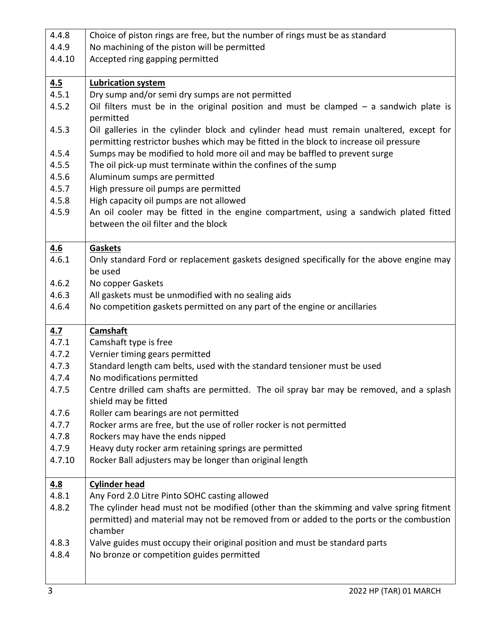| 4.4.8          | Choice of piston rings are free, but the number of rings must be as standard                                                                                                                                                                                    |
|----------------|-----------------------------------------------------------------------------------------------------------------------------------------------------------------------------------------------------------------------------------------------------------------|
| 4.4.9          | No machining of the piston will be permitted                                                                                                                                                                                                                    |
| 4.4.10         | Accepted ring gapping permitted                                                                                                                                                                                                                                 |
|                |                                                                                                                                                                                                                                                                 |
| 4.5            | <b>Lubrication system</b>                                                                                                                                                                                                                                       |
| 4.5.1          | Dry sump and/or semi dry sumps are not permitted                                                                                                                                                                                                                |
| 4.5.2          | Oil filters must be in the original position and must be clamped $-$ a sandwich plate is                                                                                                                                                                        |
|                | permitted                                                                                                                                                                                                                                                       |
| 4.5.3<br>4.5.4 | Oil galleries in the cylinder block and cylinder head must remain unaltered, except for<br>permitting restrictor bushes which may be fitted in the block to increase oil pressure<br>Sumps may be modified to hold more oil and may be baffled to prevent surge |
| 4.5.5          | The oil pick-up must terminate within the confines of the sump                                                                                                                                                                                                  |
| 4.5.6          | Aluminum sumps are permitted                                                                                                                                                                                                                                    |
| 4.5.7          | High pressure oil pumps are permitted                                                                                                                                                                                                                           |
| 4.5.8          | High capacity oil pumps are not allowed                                                                                                                                                                                                                         |
| 4.5.9          | An oil cooler may be fitted in the engine compartment, using a sandwich plated fitted                                                                                                                                                                           |
|                | between the oil filter and the block                                                                                                                                                                                                                            |
|                |                                                                                                                                                                                                                                                                 |
| <u>4.6</u>     | <b>Gaskets</b>                                                                                                                                                                                                                                                  |
| 4.6.1          | Only standard Ford or replacement gaskets designed specifically for the above engine may                                                                                                                                                                        |
|                | be used                                                                                                                                                                                                                                                         |
| 4.6.2          | No copper Gaskets                                                                                                                                                                                                                                               |
| 4.6.3          | All gaskets must be unmodified with no sealing aids                                                                                                                                                                                                             |
| 4.6.4          | No competition gaskets permitted on any part of the engine or ancillaries                                                                                                                                                                                       |
|                |                                                                                                                                                                                                                                                                 |
| <u>4.7</u>     | <b>Camshaft</b>                                                                                                                                                                                                                                                 |
| 4.7.1          | Camshaft type is free                                                                                                                                                                                                                                           |
| 4.7.2          | Vernier timing gears permitted                                                                                                                                                                                                                                  |
| 4.7.3          | Standard length cam belts, used with the standard tensioner must be used                                                                                                                                                                                        |
| 4.7.4          | No modifications permitted                                                                                                                                                                                                                                      |
| 4.7.5          | Centre drilled cam shafts are permitted. The oil spray bar may be removed, and a splash                                                                                                                                                                         |
|                | shield may be fitted                                                                                                                                                                                                                                            |
| 4.7.6          | Roller cam bearings are not permitted                                                                                                                                                                                                                           |
| 4.7.7          | Rocker arms are free, but the use of roller rocker is not permitted                                                                                                                                                                                             |
| 4.7.8          | Rockers may have the ends nipped                                                                                                                                                                                                                                |
| 4.7.9          | Heavy duty rocker arm retaining springs are permitted                                                                                                                                                                                                           |
| 4.7.10         | Rocker Ball adjusters may be longer than original length                                                                                                                                                                                                        |
|                |                                                                                                                                                                                                                                                                 |
| <u>4.8</u>     | <b>Cylinder head</b>                                                                                                                                                                                                                                            |
| 4.8.1          | Any Ford 2.0 Litre Pinto SOHC casting allowed                                                                                                                                                                                                                   |
| 4.8.2          | The cylinder head must not be modified (other than the skimming and valve spring fitment                                                                                                                                                                        |
|                | permitted) and material may not be removed from or added to the ports or the combustion<br>chamber                                                                                                                                                              |
| 4.8.3          | Valve guides must occupy their original position and must be standard parts                                                                                                                                                                                     |
| 4.8.4          | No bronze or competition guides permitted                                                                                                                                                                                                                       |
|                |                                                                                                                                                                                                                                                                 |
|                |                                                                                                                                                                                                                                                                 |
|                |                                                                                                                                                                                                                                                                 |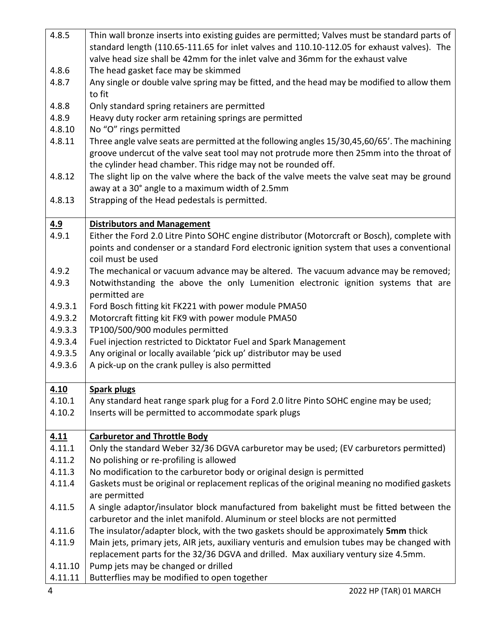| 4.8.5      | Thin wall bronze inserts into existing guides are permitted; Valves must be standard parts of         |
|------------|-------------------------------------------------------------------------------------------------------|
|            | standard length (110.65-111.65 for inlet valves and 110.10-112.05 for exhaust valves). The            |
|            | valve head size shall be 42mm for the inlet valve and 36mm for the exhaust valve                      |
| 4.8.6      | The head gasket face may be skimmed                                                                   |
| 4.8.7      | Any single or double valve spring may be fitted, and the head may be modified to allow them<br>to fit |
| 4.8.8      | Only standard spring retainers are permitted                                                          |
| 4.8.9      | Heavy duty rocker arm retaining springs are permitted                                                 |
| 4.8.10     | No "O" rings permitted                                                                                |
| 4.8.11     | Three angle valve seats are permitted at the following angles 15/30,45,60/65'. The machining          |
|            | groove undercut of the valve seat tool may not protrude more then 25mm into the throat of             |
|            | the cylinder head chamber. This ridge may not be rounded off.                                         |
| 4.8.12     | The slight lip on the valve where the back of the valve meets the valve seat may be ground            |
|            | away at a 30° angle to a maximum width of 2.5mm                                                       |
| 4.8.13     | Strapping of the Head pedestals is permitted.                                                         |
| <u>4.9</u> | <b>Distributors and Management</b>                                                                    |
| 4.9.1      | Either the Ford 2.0 Litre Pinto SOHC engine distributor (Motorcraft or Bosch), complete with          |
|            | points and condenser or a standard Ford electronic ignition system that uses a conventional           |
|            | coil must be used                                                                                     |
| 4.9.2      | The mechanical or vacuum advance may be altered. The vacuum advance may be removed;                   |
| 4.9.3      | Notwithstanding the above the only Lumenition electronic ignition systems that are                    |
|            | permitted are                                                                                         |
| 4.9.3.1    | Ford Bosch fitting kit FK221 with power module PMA50                                                  |
| 4.9.3.2    | Motorcraft fitting kit FK9 with power module PMA50                                                    |
| 4.9.3.3    | TP100/500/900 modules permitted                                                                       |
| 4.9.3.4    | Fuel injection restricted to Dicktator Fuel and Spark Management                                      |
| 4.9.3.5    | Any original or locally available 'pick up' distributor may be used                                   |
| 4.9.3.6    | A pick-up on the crank pulley is also permitted                                                       |
| 4.10       | <b>Spark plugs</b>                                                                                    |
| 4.10.1     | Any standard heat range spark plug for a Ford 2.0 litre Pinto SOHC engine may be used;                |
| 4.10.2     | Inserts will be permitted to accommodate spark plugs                                                  |
| 4.11       | <b>Carburetor and Throttle Body</b>                                                                   |
| 4.11.1     | Only the standard Weber 32/36 DGVA carburetor may be used; (EV carburetors permitted)                 |
| 4.11.2     | No polishing or re-profiling is allowed                                                               |
| 4.11.3     | No modification to the carburetor body or original design is permitted                                |
| 4.11.4     | Gaskets must be original or replacement replicas of the original meaning no modified gaskets          |
|            | are permitted                                                                                         |
| 4.11.5     | A single adaptor/insulator block manufactured from bakelight must be fitted between the               |
|            | carburetor and the inlet manifold. Aluminum or steel blocks are not permitted                         |
| 4.11.6     | The insulator/adapter block, with the two gaskets should be approximately 5mm thick                   |
| 4.11.9     | Main jets, primary jets, AIR jets, auxiliary venturis and emulsion tubes may be changed with          |
|            | replacement parts for the 32/36 DGVA and drilled. Max auxiliary ventury size 4.5mm.                   |
| 4.11.10    | Pump jets may be changed or drilled                                                                   |
| 4.11.11    | Butterflies may be modified to open together                                                          |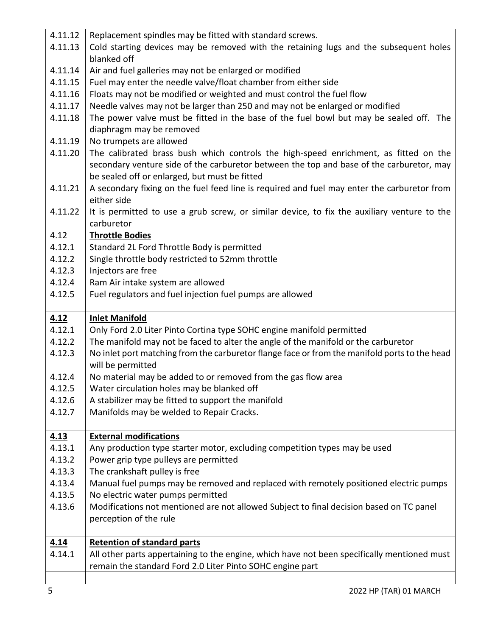| 4.11.12     | Replacement spindles may be fitted with standard screws.                                      |
|-------------|-----------------------------------------------------------------------------------------------|
| 4.11.13     | Cold starting devices may be removed with the retaining lugs and the subsequent holes         |
|             | blanked off                                                                                   |
| 4.11.14     | Air and fuel galleries may not be enlarged or modified                                        |
| 4.11.15     | Fuel may enter the needle valve/float chamber from either side                                |
| 4.11.16     | Floats may not be modified or weighted and must control the fuel flow                         |
| 4.11.17     | Needle valves may not be larger than 250 and may not be enlarged or modified                  |
| 4.11.18     | The power valve must be fitted in the base of the fuel bowl but may be sealed off. The        |
|             | diaphragm may be removed                                                                      |
| 4.11.19     | No trumpets are allowed                                                                       |
| 4.11.20     | The calibrated brass bush which controls the high-speed enrichment, as fitted on the          |
|             | secondary venture side of the carburetor between the top and base of the carburetor, may      |
|             | be sealed off or enlarged, but must be fitted                                                 |
| 4.11.21     | A secondary fixing on the fuel feed line is required and fuel may enter the carburetor from   |
|             | either side                                                                                   |
| 4.11.22     | It is permitted to use a grub screw, or similar device, to fix the auxiliary venture to the   |
|             | carburetor                                                                                    |
| 4.12        | <b>Throttle Bodies</b>                                                                        |
| 4.12.1      | Standard 2L Ford Throttle Body is permitted                                                   |
| 4.12.2      | Single throttle body restricted to 52mm throttle                                              |
| 4.12.3      | Injectors are free                                                                            |
| 4.12.4      | Ram Air intake system are allowed                                                             |
| 4.12.5      | Fuel regulators and fuel injection fuel pumps are allowed                                     |
|             |                                                                                               |
| 4.12        | <b>Inlet Manifold</b>                                                                         |
| 4.12.1      | Only Ford 2.0 Liter Pinto Cortina type SOHC engine manifold permitted                         |
| 4.12.2      | The manifold may not be faced to alter the angle of the manifold or the carburetor            |
| 4.12.3      | No inlet port matching from the carburetor flange face or from the manifold ports to the head |
|             | will be permitted                                                                             |
| 4.12.4      | No material may be added to or removed from the gas flow area                                 |
| 4.12.5      | Water circulation holes may be blanked off                                                    |
| 4.12.6      | A stabilizer may be fitted to support the manifold                                            |
| 4.12.7      | Manifolds may be welded to Repair Cracks.                                                     |
|             |                                                                                               |
| <u>4.13</u> | <b>External modifications</b>                                                                 |
| 4.13.1      | Any production type starter motor, excluding competition types may be used                    |
| 4.13.2      | Power grip type pulleys are permitted                                                         |
| 4.13.3      | The crankshaft pulley is free                                                                 |
| 4.13.4      | Manual fuel pumps may be removed and replaced with remotely positioned electric pumps         |
| 4.13.5      | No electric water pumps permitted                                                             |
| 4.13.6      | Modifications not mentioned are not allowed Subject to final decision based on TC panel       |
|             |                                                                                               |
| 4.14        | perception of the rule                                                                        |
|             |                                                                                               |
|             | <b>Retention of standard parts</b>                                                            |
| 4.14.1      | All other parts appertaining to the engine, which have not been specifically mentioned must   |
|             | remain the standard Ford 2.0 Liter Pinto SOHC engine part                                     |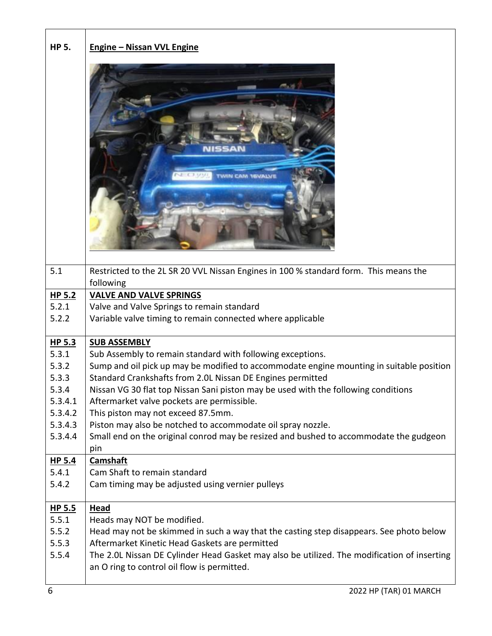| <b>HP 5.</b>      | <b>Engine - Nissan VVL Engine</b>                                                           |
|-------------------|---------------------------------------------------------------------------------------------|
|                   |                                                                                             |
| 5.1               | Restricted to the 2L SR 20 VVL Nissan Engines in 100 % standard form. This means the        |
|                   | following                                                                                   |
| $HP$ 5.2          | <b>VALVE AND VALVE SPRINGS</b>                                                              |
| 5.2.1             | Valve and Valve Springs to remain standard                                                  |
| 5.2.2             | Variable valve timing to remain connected where applicable                                  |
| HP 5.3            | <b>SUB ASSEMBLY</b>                                                                         |
| 5.3.1             | Sub Assembly to remain standard with following exceptions.                                  |
| 5.3.2             | Sump and oil pick up may be modified to accommodate engine mounting in suitable position    |
| 5.3.3             | Standard Crankshafts from 2.0L Nissan DE Engines permitted                                  |
| 5.3.4             | Nissan VG 30 flat top Nissan Sani piston may be used with the following conditions          |
| 5.3.4.1           | Aftermarket valve pockets are permissible.                                                  |
| 5.3.4.2           | This piston may not exceed 87.5mm.                                                          |
| 5.3.4.3           | Piston may also be notched to accommodate oil spray nozzle.                                 |
| 5.3.4.4           | Small end on the original conrod may be resized and bushed to accommodate the gudgeon       |
|                   | pin                                                                                         |
| HP <sub>5.4</sub> | <b>Camshaft</b>                                                                             |
| 5.4.1             | Cam Shaft to remain standard                                                                |
| 5.4.2             | Cam timing may be adjusted using vernier pulleys                                            |
| $HP$ 5.5          | <b>Head</b>                                                                                 |
| 5.5.1             | Heads may NOT be modified.                                                                  |
| 5.5.2             | Head may not be skimmed in such a way that the casting step disappears. See photo below     |
| 5.5.3             | Aftermarket Kinetic Head Gaskets are permitted                                              |
| 5.5.4             | The 2.0L Nissan DE Cylinder Head Gasket may also be utilized. The modification of inserting |
|                   | an O ring to control oil flow is permitted.                                                 |
|                   |                                                                                             |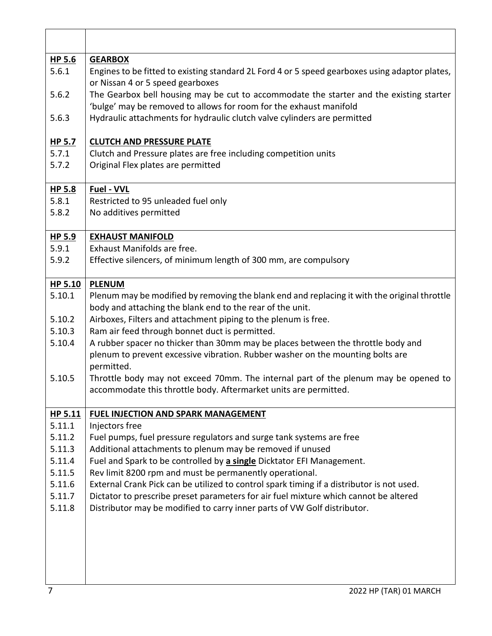| HP 5.6           | <b>GEARBOX</b>                                                                                                                                                                    |
|------------------|-----------------------------------------------------------------------------------------------------------------------------------------------------------------------------------|
| 5.6.1            | Engines to be fitted to existing standard 2L Ford 4 or 5 speed gearboxes using adaptor plates,<br>or Nissan 4 or 5 speed gearboxes                                                |
| 5.6.2            | The Gearbox bell housing may be cut to accommodate the starter and the existing starter<br>'bulge' may be removed to allows for room for the exhaust manifold                     |
| 5.6.3            | Hydraulic attachments for hydraulic clutch valve cylinders are permitted                                                                                                          |
| HP 5.7           | <b>CLUTCH AND PRESSURE PLATE</b>                                                                                                                                                  |
| 5.7.1            | Clutch and Pressure plates are free including competition units                                                                                                                   |
| 5.7.2            | Original Flex plates are permitted                                                                                                                                                |
| HP 5.8           | Fuel - VVL                                                                                                                                                                        |
| 5.8.1            | Restricted to 95 unleaded fuel only                                                                                                                                               |
| 5.8.2            | No additives permitted                                                                                                                                                            |
| HP 5.9           | <b>EXHAUST MANIFOLD</b>                                                                                                                                                           |
| 5.9.1            | Exhaust Manifolds are free.                                                                                                                                                       |
| 5.9.2            | Effective silencers, of minimum length of 300 mm, are compulsory                                                                                                                  |
| HP 5.10          | <b>PLENUM</b>                                                                                                                                                                     |
| 5.10.1           | Plenum may be modified by removing the blank end and replacing it with the original throttle                                                                                      |
|                  | body and attaching the blank end to the rear of the unit.                                                                                                                         |
| 5.10.2           | Airboxes, Filters and attachment piping to the plenum is free.                                                                                                                    |
| 5.10.3           | Ram air feed through bonnet duct is permitted.                                                                                                                                    |
| 5.10.4           | A rubber spacer no thicker than 30mm may be places between the throttle body and<br>plenum to prevent excessive vibration. Rubber washer on the mounting bolts are<br>permitted.  |
| 5.10.5           | Throttle body may not exceed 70mm. The internal part of the plenum may be opened to                                                                                               |
|                  | accommodate this throttle body. Aftermarket units are permitted.                                                                                                                  |
| HP 5.11          | FUEL INJECTION AND SPARK MANAGEMENT                                                                                                                                               |
| 5.11.1           | Injectors free                                                                                                                                                                    |
| 5.11.2           | Fuel pumps, fuel pressure regulators and surge tank systems are free                                                                                                              |
| 5.11.3           | Additional attachments to plenum may be removed if unused                                                                                                                         |
| 5.11.4           | Fuel and Spark to be controlled by a single Dicktator EFI Management.                                                                                                             |
| 5.11.5           | Rev limit 8200 rpm and must be permanently operational.                                                                                                                           |
| 5.11.6<br>5.11.7 | External Crank Pick can be utilized to control spark timing if a distributor is not used.<br>Dictator to prescribe preset parameters for air fuel mixture which cannot be altered |
| 5.11.8           | Distributor may be modified to carry inner parts of VW Golf distributor.                                                                                                          |
|                  |                                                                                                                                                                                   |
|                  |                                                                                                                                                                                   |
| 7                | 2022 HP (TAR) 01 MARCH                                                                                                                                                            |

٦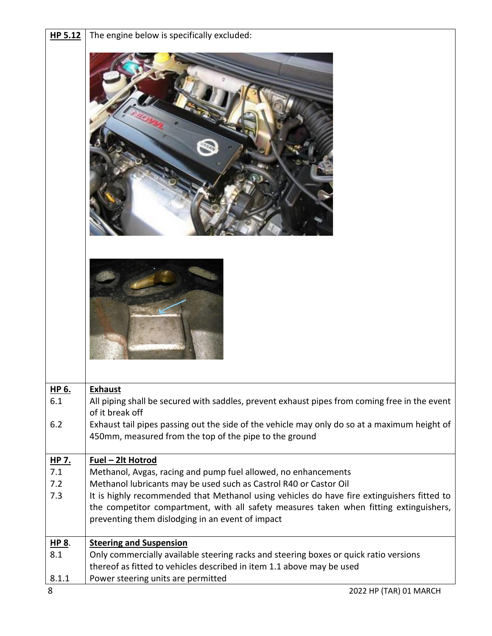| HP 5.12             | The engine below is specifically excluded:                                                                                                                     |
|---------------------|----------------------------------------------------------------------------------------------------------------------------------------------------------------|
|                     |                                                                                                                                                                |
|                     |                                                                                                                                                                |
| <u>HP 6.</u><br>6.1 | <b>Exhaust</b><br>All piping shall be secured with saddles, prevent exhaust pipes from coming free in the event                                                |
|                     | of it break off                                                                                                                                                |
| 6.2                 | Exhaust tail pipes passing out the side of the vehicle may only do so at a maximum height of<br>450mm, measured from the top of the pipe to the ground         |
| HP 7.               | Fuel - 2lt Hotrod                                                                                                                                              |
| 7.1<br>7.2          | Methanol, Avgas, racing and pump fuel allowed, no enhancements<br>Methanol lubricants may be used such as Castrol R40 or Castor Oil                            |
| 7.3                 | It is highly recommended that Methanol using vehicles do have fire extinguishers fitted to                                                                     |
|                     | the competitor compartment, with all safety measures taken when fitting extinguishers,<br>preventing them dislodging in an event of impact                     |
| HP 8.               | <b>Steering and Suspension</b>                                                                                                                                 |
| 8.1                 | Only commercially available steering racks and steering boxes or quick ratio versions<br>thereof as fitted to vehicles described in item 1.1 above may be used |
| 8.1.1               | Power steering units are permitted                                                                                                                             |
| 8                   | 2022 HP (TAR) 01 MARCH                                                                                                                                         |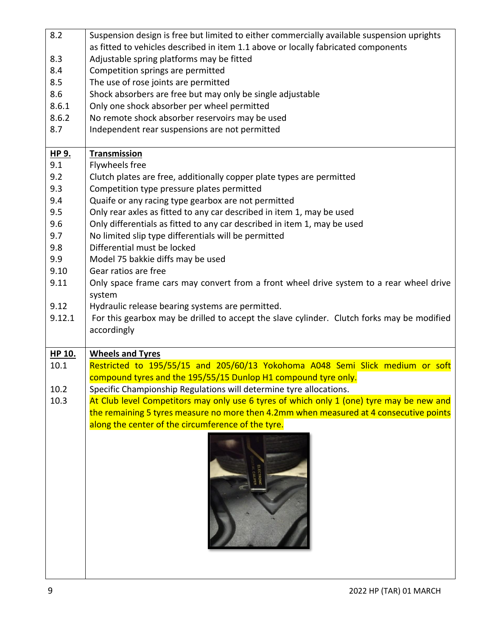| 8.2    | Suspension design is free but limited to either commercially available suspension uprights |
|--------|--------------------------------------------------------------------------------------------|
|        | as fitted to vehicles described in item 1.1 above or locally fabricated components         |
| 8.3    | Adjustable spring platforms may be fitted                                                  |
| 8.4    | Competition springs are permitted                                                          |
| 8.5    | The use of rose joints are permitted                                                       |
| 8.6    | Shock absorbers are free but may only be single adjustable                                 |
| 8.6.1  | Only one shock absorber per wheel permitted                                                |
| 8.6.2  | No remote shock absorber reservoirs may be used                                            |
| 8.7    | Independent rear suspensions are not permitted                                             |
|        |                                                                                            |
| HP 9.  | Transmission                                                                               |
| 9.1    | Flywheels free                                                                             |
| 9.2    | Clutch plates are free, additionally copper plate types are permitted                      |
| 9.3    | Competition type pressure plates permitted                                                 |
| 9.4    | Quaife or any racing type gearbox are not permitted                                        |
| 9.5    | Only rear axles as fitted to any car described in item 1, may be used                      |
| 9.6    | Only differentials as fitted to any car described in item 1, may be used                   |
| 9.7    | No limited slip type differentials will be permitted                                       |
| 9.8    | Differential must be locked                                                                |
| 9.9    | Model 75 bakkie diffs may be used                                                          |
| 9.10   | Gear ratios are free                                                                       |
| 9.11   | Only space frame cars may convert from a front wheel drive system to a rear wheel drive    |
|        | system                                                                                     |
| 9.12   | Hydraulic release bearing systems are permitted.                                           |
| 9.12.1 | For this gearbox may be drilled to accept the slave cylinder. Clutch forks may be modified |
|        | accordingly                                                                                |
|        |                                                                                            |
| HP 10. | <b>Wheels and Tyres</b>                                                                    |
| 10.1   | Restricted to 195/55/15 and 205/60/13 Yokohoma A048 Semi Slick medium or soft              |
|        | compound tyres and the 195/55/15 Dunlop H1 compound tyre only.                             |
| 10.2   | Specific Championship Regulations will determine tyre allocations.                         |
| 10.3   | At Club level Competitors may only use 6 tyres of which only 1 (one) tyre may be new and   |
|        | the remaining 5 tyres measure no more then 4.2mm when measured at 4 consecutive points     |
|        | along the center of the circumference of the tyre.                                         |
|        |                                                                                            |
|        |                                                                                            |
|        |                                                                                            |
|        |                                                                                            |
|        |                                                                                            |
|        |                                                                                            |
|        |                                                                                            |
|        |                                                                                            |
|        |                                                                                            |
|        |                                                                                            |
|        |                                                                                            |
|        |                                                                                            |
|        |                                                                                            |